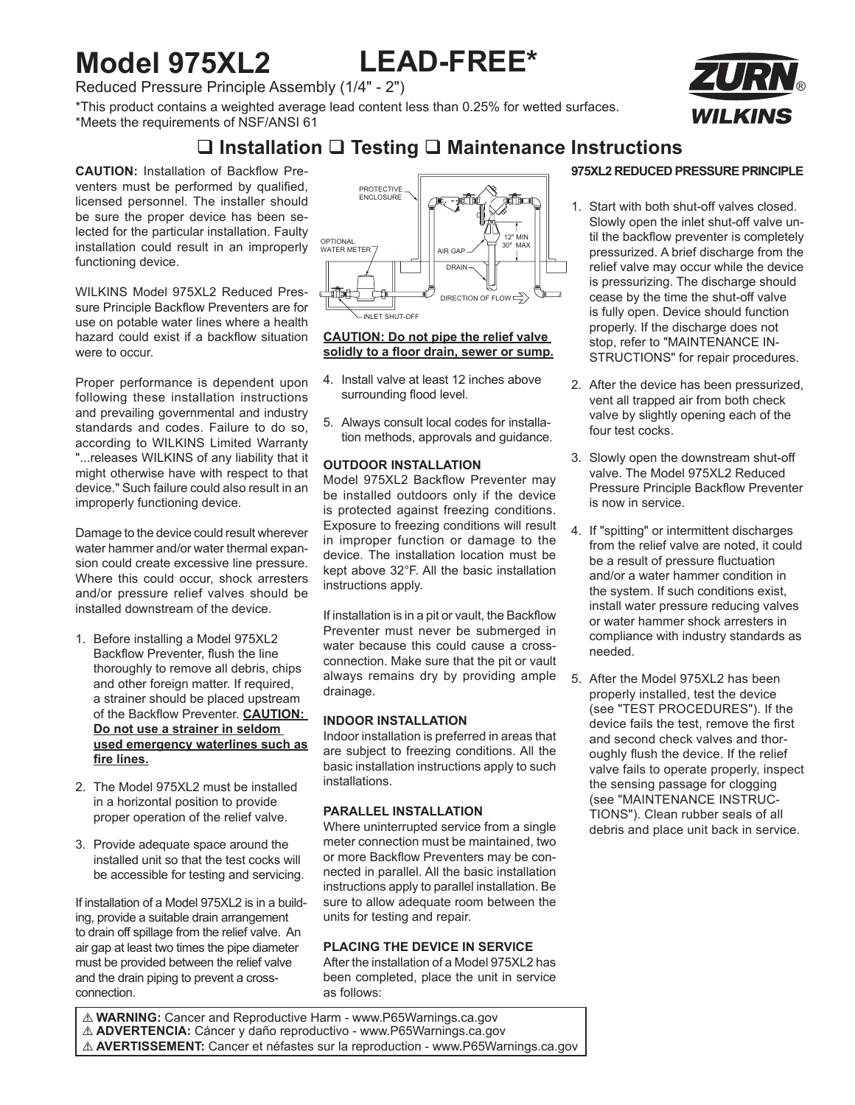# **Model 975XL2 LEAD-FREE\***

Reduced Pressure Principle Assembly (1/4" - 2")

\*This product contains a weighted average lead content less than 0.25% for wetted surfaces. \*Meets the requirements of NSF/ANSI 61



**CAUTION:** Installation of Backflow Preventers must be performed by qualified, licensed personnel. The installer should be sure the proper device has been selected for the particular installation. Faulty installation could result in an improperly functioning device.

WILKINS Model 975XL2 Reduced Pressure Principle Backflow Preventers are for use on potable water lines where a health hazard could exist if a backflow situation were to occur.

Proper performance is dependent upon following these installation instructions and prevailing governmental and industry standards and codes. Failure to do so, according to WILKINS Limited Warranty "...releases WILKINS of any liability that it might otherwise have with respect to that device." Such failure could also result in an improperly functioning device.

Damage to the device could result wherever water hammer and/or water thermal expansion could create excessive line pressure. Where this could occur, shock arresters and/or pressure relief valves should be installed downstream of the device.

- 1. Before installing a Model 975XL2 Backflow Preventer, flush the line thoroughly to remove all debris, chips and other foreign matter. If required, a strainer should be placed upstream of the Backflow Preventer. **CAUTION: Do not use a strainer in seldom used emergency waterlines such as fire lines.**
- 2. The Model 975XL2 must be installed in a horizontal position to provide proper operation of the relief valve.
- 3. Provide adequate space around the installed unit so that the test cocks will be accessible for testing and servicing.

If installation of a Model 975XL2 is in a building, provide a suitable drain arrangement to drain off spillage from the relief valve. An air gap at least two times the pipe diameter must be provided between the relief valve and the drain piping to prevent a crossconnection.



#### **CAUTION: Do not pipe the relief valve solidly to a floor drain, sewer or sump.**

- 4. Install valve at least 12 inches above surrounding flood level.
- 5. Always consult local codes for installation methods, approvals and guidance.

#### **OUTDOOR INSTALLATION**

Model 975XL2 Backflow Preventer may be installed outdoors only if the device is protected against freezing conditions. Exposure to freezing conditions will result in improper function or damage to the device. The installation location must be kept above 32°F. All the basic installation instructions apply.

If installation is in a pit or vault, the Backflow Preventer must never be submerged in water because this could cause a crossconnection. Make sure that the pit or vault always remains dry by providing ample drainage.

#### **INDOOR INSTALLATION**

Indoor installation is preferred in areas that are subject to freezing conditions. All the basic installation instructions apply to such installations.

#### **PARALLEL INSTALLATION**

Where uninterrupted service from a single meter connection must be maintained, two or more Backflow Preventers may be connected in parallel. All the basic installation instructions apply to parallel installation. Be sure to allow adequate room between the units for testing and repair.

#### **PLACING THE DEVICE IN SERVICE**

After the installation of a Model 975XL2 has been completed, place the unit in service as follows:

! **WARNING:** Cancer and Reproductive Harm - www.P65Warnings.ca.gov ! **ADVERTENCIA:** Cáncer y daño reproductivo - www.P65Warnings.ca.gov ! **AVERTISSEMENT:** Cancer et néfastes sur la reproduction - www.P65Warnings.ca.gov

### **975XL2 REDUCED PRESSURE PRINCIPLE**

- 1. Start with both shut-off valves closed. Slowly open the inlet shut-off valve until the backflow preventer is completely pressurized. A brief discharge from the relief valve may occur while the device is pressurizing. The discharge should cease by the time the shut-off valve is fully open. Device should function properly. If the discharge does not stop, refer to "MAINTENANCE IN-STRUCTIONS" for repair procedures.
- 2. After the device has been pressurized, vent all trapped air from both check valve by slightly opening each of the four test cocks.
- 3. Slowly open the downstream shut-off valve. The Model 975XL2 Reduced Pressure Principle Backflow Preventer is now in service.
- 4. If "spitting" or intermittent discharges from the relief valve are noted, it could be a result of pressure fluctuation and/or a water hammer condition in the system. If such conditions exist, install water pressure reducing valves or water hammer shock arresters in compliance with industry standards as needed.
- 5. After the Model 975XL2 has been properly installed, test the device (see "TEST PROCEDURES"). If the device fails the test, remove the first and second check valves and thoroughly flush the device. If the relief valve fails to operate properly, inspect the sensing passage for clogging (see "MAINTENANCE INSTRUC-TIONS"). Clean rubber seals of all debris and place unit back in service.

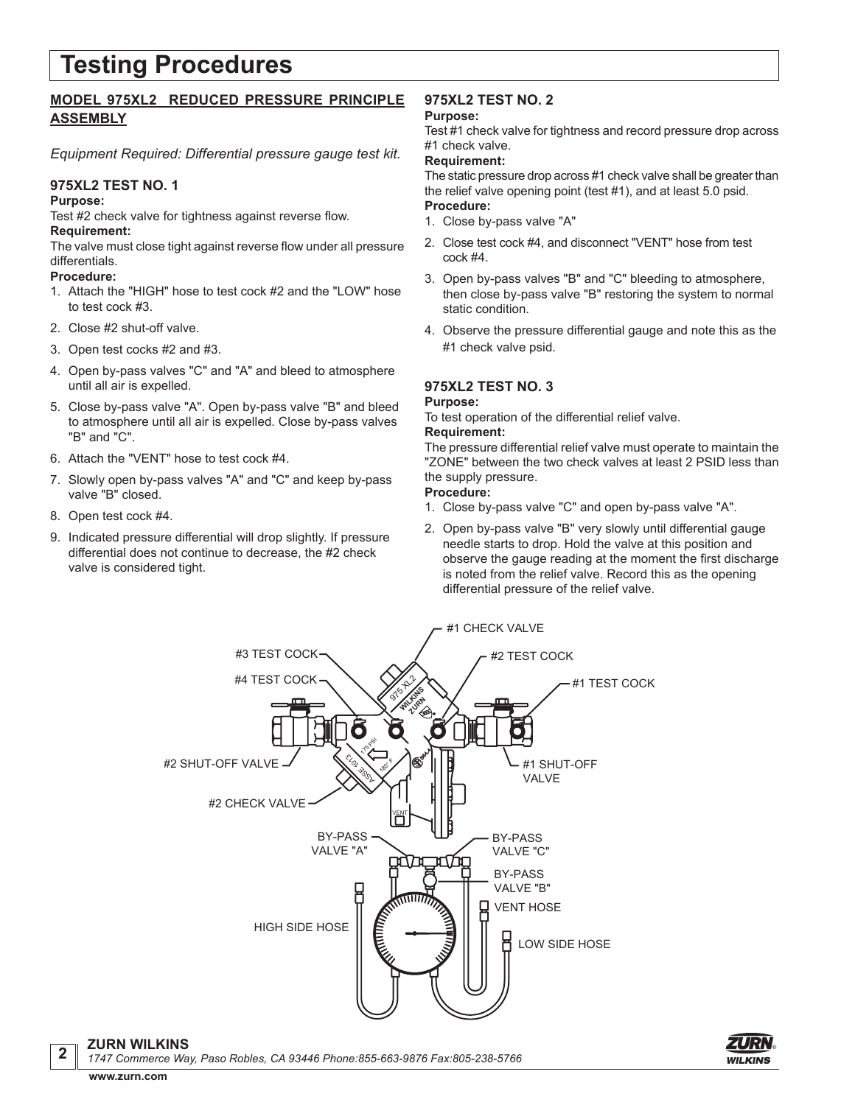# **Testing Procedures**

### **MODEL 975XL2 REDUCED PRESSURE PRINCIPLE ASSEMBLY**

*Equipment Required: Differential pressure gauge test kit.*

#### **975XL2 TEST NO. 1**

#### **Purpose:**

Test #2 check valve for tightness against reverse flow. **Requirement:**

The valve must close tight against reverse flow under all pressure differentials.

#### **Procedure:**

- 1. Attach the "HIGH" hose to test cock #2 and the "LOW" hose to test cock #3.
- 2. Close #2 shut-off valve.
- 3. Open test cocks #2 and #3.
- 4. Open by-pass valves "C" and "A" and bleed to atmosphere until all air is expelled.
- 5. Close by-pass valve "A". Open by-pass valve "B" and bleed to atmosphere until all air is expelled. Close by-pass valves "B" and "C".
- 6. Attach the "VENT" hose to test cock #4.
- 7. Slowly open by-pass valves "A" and "C" and keep by-pass valve "B" closed.
- 8. Open test cock #4.
- 9. Indicated pressure differential will drop slightly. If pressure differential does not continue to decrease, the #2 check valve is considered tight.

## **975XL2 TEST NO. 2**

#### **Purpose:**

Test #1 check valve for tightness and record pressure drop across #1 check valve.

#### **Requirement:**

The static pressure drop across #1 check valve shall be greater than the relief valve opening point (test #1), and at least 5.0 psid. **Procedure:**

- 1. Close by-pass valve "A"
- 2. Close test cock #4, and disconnect "VENT" hose from test cock #4.
- 3. Open by-pass valves "B" and "C" bleeding to atmosphere, then close by-pass valve "B" restoring the system to normal static condition.
- 4. Observe the pressure differential gauge and note this as the #1 check valve psid.

### **975XL2 TEST NO. 3**

#### **Purpose:**

To test operation of the differential relief valve.

#### **Requirement:**

The pressure differential relief valve must operate to maintain the "ZONE" between the two check valves at least 2 PSID less than the supply pressure.

#### **Procedure:**

- 1. Close by-pass valve "C" and open by-pass valve "A".
- 2. Open by-pass valve "B" very slowly until differential gauge needle starts to drop. Hold the valve at this position and observe the gauge reading at the moment the first discharge is noted from the relief valve. Record this as the opening differential pressure of the relief valve.



**ZURN WILKINS <sup>2</sup>** *1747 Commerce Way, Paso Robles, CA 93446 Phone:855-663-9876 Fax:805-238-5766*

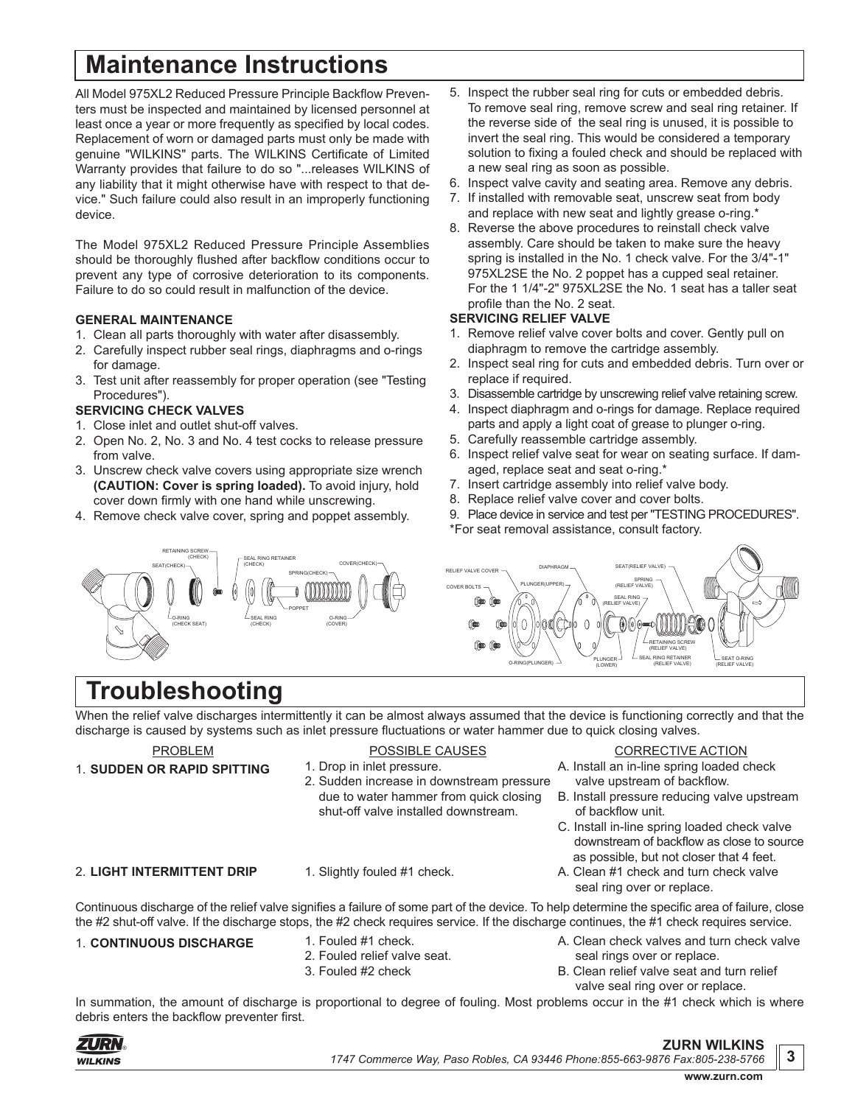# **Maintenance Instructions**

All Model 975XL2 Reduced Pressure Principle Backflow Preventers must be inspected and maintained by licensed personnel at least once a year or more frequently as specified by local codes. Replacement of worn or damaged parts must only be made with genuine "WILKINS" parts. The WILKINS Certificate of Limited Warranty provides that failure to do so "...releases WILKINS of any liability that it might otherwise have with respect to that device." Such failure could also result in an improperly functioning device.

The Model 975XL2 Reduced Pressure Principle Assemblies should be thoroughly flushed after backflow conditions occur to prevent any type of corrosive deterioration to its components. Failure to do so could result in malfunction of the device.

#### **GENERAL MAINTENANCE**

- 1. Clean all parts thoroughly with water after disassembly.
- 2. Carefully inspect rubber seal rings, diaphragms and o-rings for damage.
- 3. Test unit after reassembly for proper operation (see "Testing Procedures").

#### **SERVICING CHECK VALVES**

- 1. Close inlet and outlet shut-off valves.
- 2. Open No. 2, No. 3 and No. 4 test cocks to release pressure from valve.
- 3. Unscrew check valve covers using appropriate size wrench **(CAUTION: Cover is spring loaded).** To avoid injury, hold cover down firmly with one hand while unscrewing.
- 4. Remove check valve cover, spring and poppet assembly.
- 5. Inspect the rubber seal ring for cuts or embedded debris. To remove seal ring, remove screw and seal ring retainer. If the reverse side of the seal ring is unused, it is possible to invert the seal ring. This would be considered a temporary solution to fixing a fouled check and should be replaced with a new seal ring as soon as possible.
- 6. Inspect valve cavity and seating area. Remove any debris.
- 7. If installed with removable seat, unscrew seat from body and replace with new seat and lightly grease o-ring.\*
- 8. Reverse the above procedures to reinstall check valve assembly. Care should be taken to make sure the heavy spring is installed in the No. 1 check valve. For the 3/4"-1" 975XL2SE the No. 2 poppet has a cupped seal retainer. For the 1 1/4"-2" 975XL2SE the No. 1 seat has a taller seat profile than the No. 2 seat.

#### **SERVICING RELIEF VALVE**

- 1. Remove relief valve cover bolts and cover. Gently pull on diaphragm to remove the cartridge assembly.
- 2. Inspect seal ring for cuts and embedded debris. Turn over or replace if required.
- 3. Disassemble cartridge by unscrewing relief valve retaining screw.
- 4. Inspect diaphragm and o-rings for damage. Replace required parts and apply a light coat of grease to plunger o-ring.
- 5. Carefully reassemble cartridge assembly.
- 6. Inspect relief valve seat for wear on seating surface. If damaged, replace seat and seat o-ring.\*
- 7. Insert cartridge assembly into relief valve body.
- 8. Replace relief valve cover and cover bolts.
- 9. Place device in service and test per "TESTING PROCEDURES".

SEAL RING (RELIEF VALVE)

SEAT(RELIEF)

SPRING (RELIEF VALVE)

PLUNGER (LOWER)

\*For seat removal assistance, consult factory.

DIAPHRAGM

O-RING(PLUNGER)





When the relief valve discharges intermittently it can be almost always assumed that the device is functioning correctly and that the discharge is caused by systems such as inlet pressure fluctuations or water hammer due to quick closing valves.

RELIEF VALVE COVER COVER BOLTS

#### PROBLEM

POSSIBLE CAUSES

### 1. **SUDDEN OR RAPID SPITTING**

- 
- 1. Drop in inlet pressure. 2. Sudden increase in downstream pressure due to water hammer from quick closing shut-off valve installed downstream.

#### 2. **LIGHT INTERMITTENT DRIP**

1. Slightly fouled #1 check.

Continuous discharge of the relief valve signifies a failure of some part of the device. To help determine the specific area of failure, close the #2 shut-off valve. If the discharge stops, the #2 check requires service. If the discharge continues, the #1 check requires service.

### 1. **CONTINUOUS DISCHARGE** 1. Fouled #1 check.

- 2. Fouled relief valve seat.
- 
- 3. Fouled #2 check
- A. Clean check valves and turn check valve seal rings over or replace.
- B. Clean relief valve seat and turn relief valve seal ring over or replace.

In summation, the amount of discharge is proportional to degree of fouling. Most problems occur in the #1 check which is where debris enters the backflow preventer first.



CORRECTIVE ACTION

A. Install an in-line spring loaded check valve upstream of backflow.

SEAL RING RETAINER (RELIEF VALVE)

RETAINING SCREW (RELIEF VALVE)

> SEAT O-RING (RELIEF VALVE)

- B. Install pressure reducing valve upstream of backflow unit.
- C. Install in-line spring loaded check valve downstream of backflow as close to source as possible, but not closer that 4 feet.
- A. Clean #1 check and turn check valve seal ring over or replace.